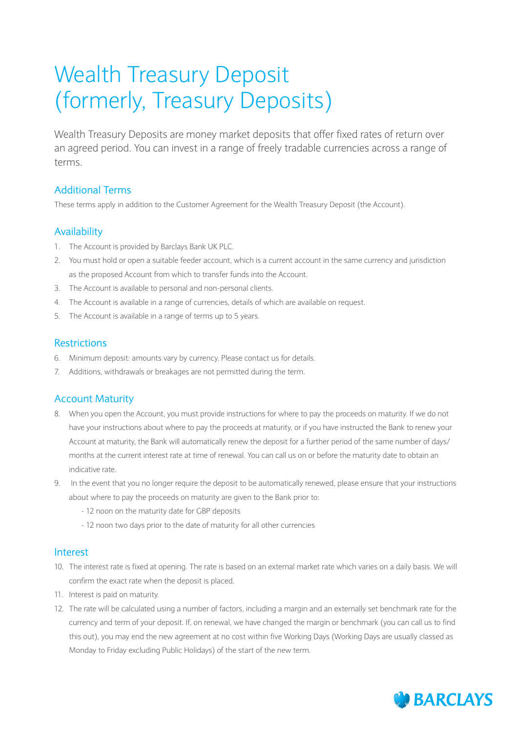# Wealth Treasury Deposit (formerly, Treasury Deposits)

Wealth Treasury Deposits are money market deposits that offer fixed rates of return over an agreed period. You can invest in a range of freely tradable currencies across a range of terms.

## Additional Terms

These terms apply in addition to the Customer Agreement for the Wealth Treasury Deposit (the Account).

## Availability

- 1. The Account is provided by Barclays Bank UK PLC.
- 2. You must hold or open a suitable feeder account, which is a current account in the same currency and jurisdiction as the proposed Account from which to transfer funds into the Account.
- 3. The Account is available to personal and non-personal clients.
- 4. The Account is available in a range of currencies, details of which are available on request.
- 5. The Account is available in a range of terms up to 5 years.

## **Restrictions**

- 6. Minimum deposit: amounts vary by currency. Please contact us for details.
- 7. Additions, withdrawals or breakages are not permitted during the term.

## Account Maturity

- 8. When you open the Account, you must provide instructions for where to pay the proceeds on maturity. If we do not have your instructions about where to pay the proceeds at maturity, or if you have instructed the Bank to renew your Account at maturity, the Bank will automatically renew the deposit for a further period of the same number of days/ months at the current interest rate at time of renewal. You can call us on or before the maturity date to obtain an indicative rate.
- 9. In the event that you no longer require the deposit to be automatically renewed, please ensure that your instructions about where to pay the proceeds on maturity are given to the Bank prior to:
	- 12 noon on the maturity date for GBP deposits
	- 12 noon two days prior to the date of maturity for all other currencies

### Interest

- 10. The interest rate is fixed at opening. The rate is based on an external market rate which varies on a daily basis. We will confirm the exact rate when the deposit is placed.
- 11. Interest is paid on maturity.
- 12. The rate will be calculated using a number of factors, including a margin and an externally set benchmark rate for the currency and term of your deposit. If, on renewal, we have changed the margin or benchmark (you can call us to find this out), you may end the new agreement at no cost within five Working Days (Working Days are usually classed as Monday to Friday excluding Public Holidays) of the start of the new term.

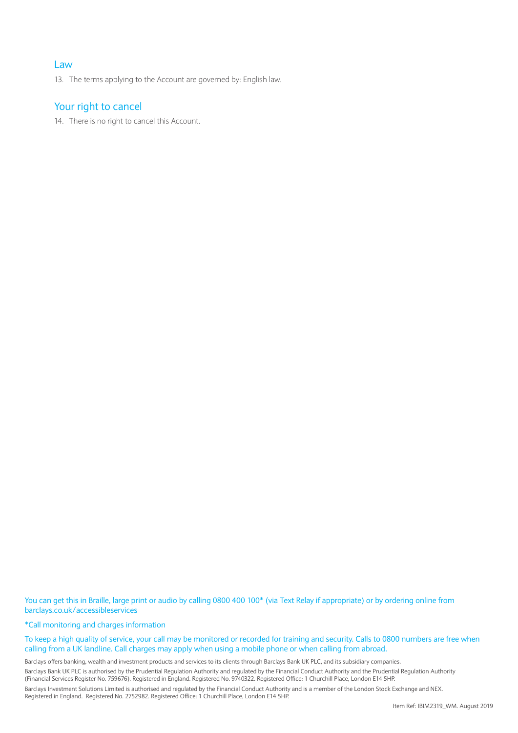### Law

13. The terms applying to the Account are governed by: English law.

## Your right to cancel

14. There is no right to cancel this Account.

You can get this in Braille, large print or audio by calling 0800 400 100\* (via Text Relay if appropriate) or by ordering online from barclays.co.uk/accessibleservices

\*Call monitoring and charges information

#### To keep a high quality of service, your call may be monitored or recorded for training and security. Calls to 0800 numbers are free when calling from a UK landline. Call charges may apply when using a mobile phone or when calling from abroad.

Barclays offers banking, wealth and investment products and services to its clients through Barclays Bank UK PLC, and its subsidiary companies.

Barclays Bank UK PLC is authorised by the Prudential Regulation Authority and regulated by the Financial Conduct Authority and the Prudential Regulation Authority (Financial Services Register No. 759676). Registered in England. Registered No. 9740322. Registered Office: 1 Churchill Place, London E14 5HP.

Barclays Investment Solutions Limited is authorised and regulated by the Financial Conduct Authority and is a member of the London Stock Exchange and NEX. Registered in England. Registered No. 2752982. Registered Office: 1 Churchill Place, London E14 5HP.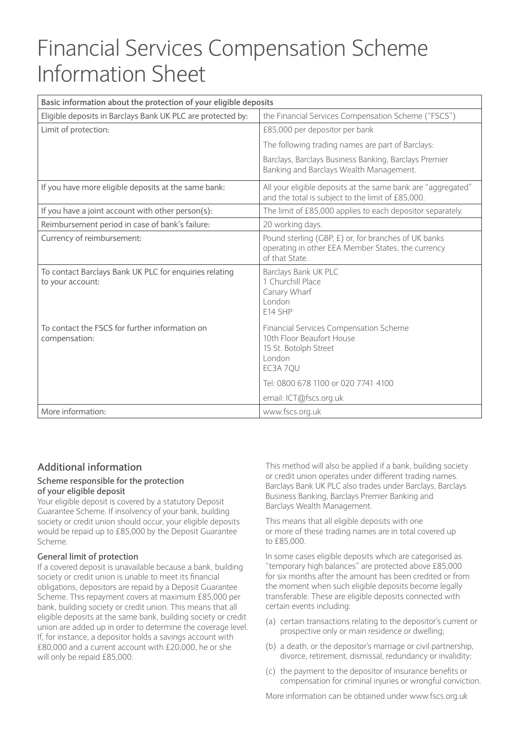## Financial Services Compensation Scheme Information Sheet

| Basic information about the protection of your eligible deposits           |                                                                                                                                                                  |
|----------------------------------------------------------------------------|------------------------------------------------------------------------------------------------------------------------------------------------------------------|
| Eligible deposits in Barclays Bank UK PLC are protected by:                | the Financial Services Compensation Scheme ("FSCS")                                                                                                              |
| Limit of protection:                                                       | £85,000 per depositor per bank                                                                                                                                   |
|                                                                            | The following trading names are part of Barclays:                                                                                                                |
|                                                                            | Barclays, Barclays Business Banking, Barclays Premier<br>Banking and Barclays Wealth Management.                                                                 |
| If you have more eligible deposits at the same bank:                       | All your eligible deposits at the same bank are "aggregated"<br>and the total is subject to the limit of £85,000.                                                |
| If you have a joint account with other person(s):                          | The limit of £85,000 applies to each depositor separately.                                                                                                       |
| Reimbursement period in case of bank's failure:                            | 20 working days.                                                                                                                                                 |
| Currency of reimbursement:                                                 | Pound sterling (GBP, £) or, for branches of UK banks<br>operating in other EEA Member States, the currency<br>of that State                                      |
| To contact Barclays Bank UK PLC for enquiries relating<br>to your account: | Barclays Bank UK PLC<br>1 Churchill Place<br>Canary Wharf<br>London<br>E14 5HP                                                                                   |
| To contact the FSCS for further information on<br>compensation:            | <b>Financial Services Compensation Scheme</b><br>10th Floor Beaufort House<br>15 St. Botolph Street<br>London<br>EC3A 7QU<br>Tel: 0800 678 1100 or 020 7741 4100 |
|                                                                            | email: ICT@fscs.org.uk                                                                                                                                           |
| More information:                                                          | www.fscs.org.uk                                                                                                                                                  |

## **Additional information**

#### **Scheme responsible for the protection of your eligible deposit**

Your eligible deposit is covered by a statutory Deposit Guarantee Scheme. If insolvency of your bank, building society or credit union should occur, your eligible deposits would be repaid up to £85,000 by the Deposit Guarantee Scheme.

### **General limit of protection**

If a covered deposit is unavailable because a bank, building society or credit union is unable to meet its financial obligations, depositors are repaid by a Deposit Guarantee Scheme. This repayment covers at maximum £85,000 per bank, building society or credit union. This means that all eligible deposits at the same bank, building society or credit union are added up in order to determine the coverage level. If, for instance, a depositor holds a savings account with £80,000 and a current account with £20,000, he or she will only be repaid £85,000.

This method will also be applied if a bank, building society or credit union operates under different trading names. Barclays Bank UK PLC also trades under Barclays, Barclays Business Banking, Barclays Premier Banking and Barclays Wealth Management.

This means that all eligible deposits with one or more of these trading names are in total covered up to £85,000.

In some cases eligible deposits which are categorised as "temporary high balances" are protected above £85,000 for six months after the amount has been credited or from the moment when such eligible deposits become legally transferable. These are eligible deposits connected with certain events including:

- (a) certain transactions relating to the depositor's current or prospective only or main residence or dwelling;
- (b) a death, or the depositor's marriage or civil partnership, divorce, retirement, dismissal, redundancy or invalidity;
- (c) the payment to the depositor of insurance benefits or compensation for criminal injuries or wrongful conviction.

More information can be obtained under www.fscs.org.uk